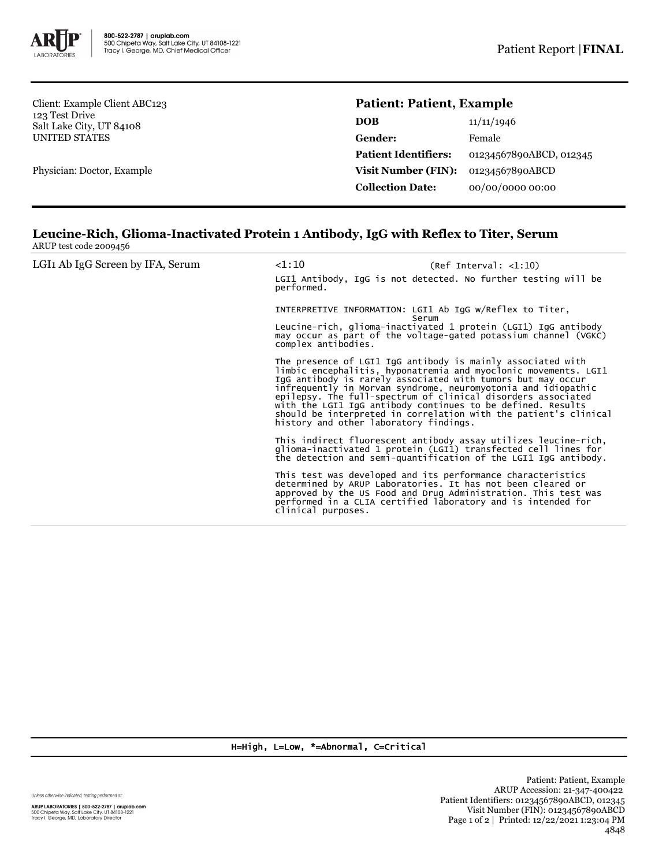

Client: Example Client ABC123 123 Test Drive Salt Lake City, UT 84108 UNITED STATES

Physician: Doctor, Example

## **Patient: Patient, Example**

| 11/11/1946              |
|-------------------------|
| Female                  |
| 01234567890ABCD, 012345 |
| 01234567890ABCD         |
| 00/00/0000 00:00        |
|                         |

## **Leucine-Rich, Glioma-Inactivated Protein 1 Antibody, IgG with Reflex to Titer, Serum** ARUP test code 2009456

| LGI <sub>1</sub> Ab IgG Screen by IFA, Serum | $<$ 1:10<br>performed.                                                                   | (Ref Interval: <1:10)<br>LGI1 Antibody, IgG is not detected. No further testing will be                                                                                                                                                                                                                                                                                                                                                                           |
|----------------------------------------------|------------------------------------------------------------------------------------------|-------------------------------------------------------------------------------------------------------------------------------------------------------------------------------------------------------------------------------------------------------------------------------------------------------------------------------------------------------------------------------------------------------------------------------------------------------------------|
|                                              | INTERPRETIVE INFORMATION: LGI1 Ab IgG w/Reflex to Titer,<br>Serum<br>complex antibodies. | Leucine-rich, glioma-inactivated 1 protein (LGI1) IgG antibody<br>may occur as part of the voltage-gated potassium channel (VGKC)                                                                                                                                                                                                                                                                                                                                 |
|                                              | history and other laboratory findings.                                                   | The presence of LGI1 IgG antibody is mainly associated with<br>limbic encephalitis, hyponatremia and myoclonic movements. LGI1<br>IgG antibody is rarely associated with tumors but may occur<br>infrequently in Morvan syndrome, neuromyotonia and idiopathic<br>epilepsy. The full-spectrum of clinical disorders associated<br>with the LGI1 IgG antibody continues to be defined. Results<br>should be interpreted in correlation with the patient's clinical |
|                                              |                                                                                          | This indirect fluorescent antibody assay utilizes leucine-rich,<br>glioma-inactivated 1 protein (LGI1) transfected cell lines for<br>the detection and semi-quantification of the LGI1 IqG antibody.                                                                                                                                                                                                                                                              |
|                                              | clinical purposes.                                                                       | This test was developed and its performance characteristics<br>determined by ARUP Laboratories. It has not been cleared or<br>approved by the US Food and Drug Administration. This test was<br>performed in a CLIA certified laboratory and is intended for                                                                                                                                                                                                      |

H=High, L=Low, \*=Abnormal, C=Critical

Unless otherwise indicated, testing performed at:

**ARUP LABORATORIES | 800-522-2787 | aruplab.com**<br>500 Chipeta Way, Salt Lake City, UT 84108-1221<br>Tracy I. George, MD, Laboratory Director